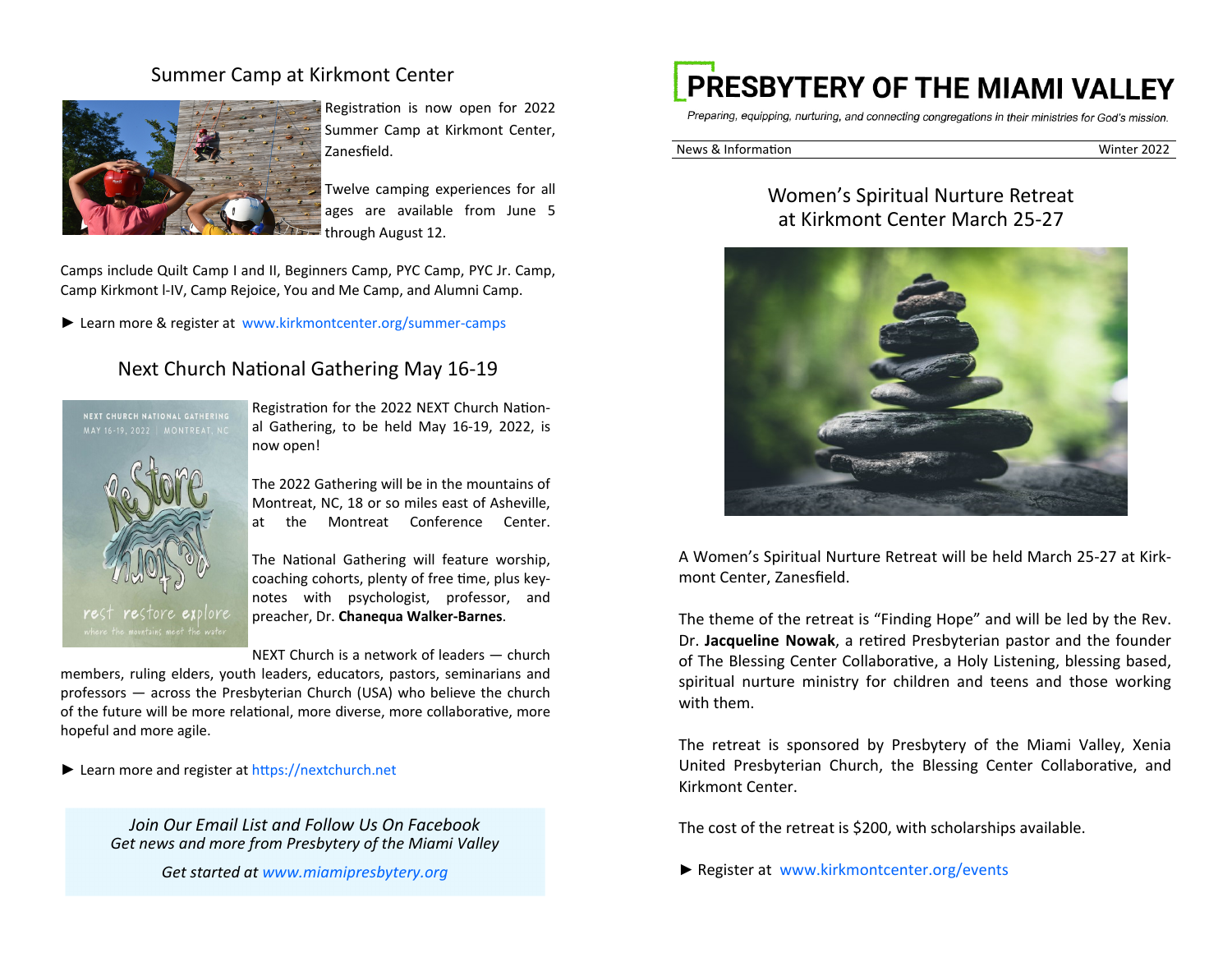#### Summer Camp at Kirkmont Center



Registration is now open for 2022 Summer Camp at Kirkmont Center, Zanesfield.

Twelve camping experiences for all ages are available from June 5 through August 12.

Camps include Quilt Camp I and II, Beginners Camp, PYC Camp, PYC Jr. Camp, Camp Kirkmont l-IV, Camp Rejoice, You and Me Camp, and Alumni Camp.

► Learn more & register at www.kirkmontcenter.org/summer-camps

# Next Church National Gathering May 16-19



Registration for the 2022 NEXT Church National Gathering, to be held May 16-19, 2022, is now open!

The 2022 Gathering will be in the mountains of Montreat, NC, 18 or so miles east of Asheville, at the Montreat Conference Center.

The National Gathering will feature worship, coaching cohorts, plenty of free time, plus keynotes with psychologist, professor, and preacher, Dr. **Chanequa Walker-Barnes**.

NEXT Church is a network of leaders — church

members, ruling elders, youth leaders, educators, pastors, seminarians and professors — across the Presbyterian Church (USA) who believe the church of the future will be more relational, more diverse, more collaborative, more hopeful and more agile.

► Learn more and register at https://nextchurch.net

*Join Our Email List and Follow Us On Facebook Get news and more from Presbytery of the Miami Valley* 

*Get started at www.miamipresbytery.org*

# PRESBYTERY OF THE MIAMI VALLEY

Preparing, equipping, nurturing, and connecting congregations in their ministries for God's mission.

News & InformaƟon Winter 2022

# Women's Spiritual Nurture Retreat at Kirkmont Center March 25-27



A Women's Spiritual Nurture Retreat will be held March 25-27 at Kirkmont Center, Zanesfield.

The theme of the retreat is "Finding Hope" and will be led by the Rev. Dr. **Jacqueline Nowak**, a retired Presbyterian pastor and the founder of The Blessing Center Collaborative, a Holy Listening, blessing based, spiritual nurture ministry for children and teens and those working with them.

The retreat is sponsored by Presbytery of the Miami Valley, Xenia United Presbyterian Church, the Blessing Center Collaborative, and Kirkmont Center.

The cost of the retreat is \$200, with scholarships available.

► Register at www.kirkmontcenter.org/events